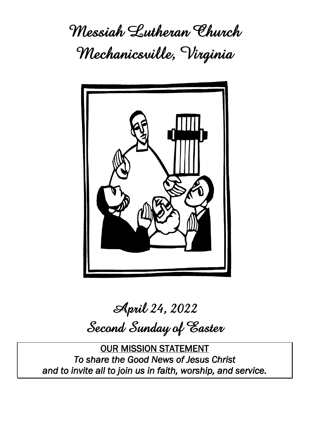**Messiah Lutheran Church Mechanicsville, Virginia**



**April 24, 2022**

**Second Sunday of Easter**

OUR MISSION STATEMENT *To share the Good News of Jesus Christ and to invite all to join us in faith, worship, and service.*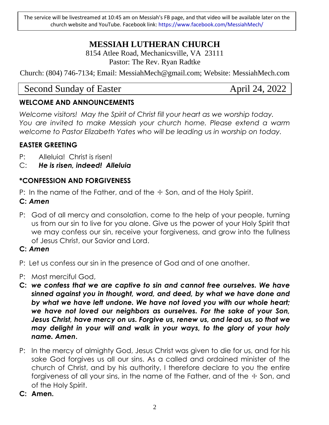The service will be livestreamed at 10:45 am on Messiah's FB page, and that video will be available later on the church website and YouTube. Facebook link:<https://www.facebook.com/MessiahMech/>

# **MESSIAH LUTHERAN CHURCH**

8154 Atlee Road, Mechanicsville, VA 23111 Pastor: The Rev. Ryan Radtke

Church: (804) 746-7134; Email: MessiahMech@gmail.com; Website: [MessiahMech.c](http://www.mlcas.org/)om

# Second Sunday of Easter April 24, 2022

# **WELCOME AND ANNOUNCEMENTS**

*Welcome visitors! May the Spirit of Christ fill your heart as we worship today. You are invited to make Messiah your church home. Please extend a warm welcome to Pastor Elizabeth Yates who will be leading us in worship on today.*

# **EASTER GREETING**

- P: Alleluia! Christ is risen!
- C: *He is risen, indeed! Alleluia*

# **\*CONFESSION AND FORGIVENESS**

P: In the name of the Father, and of the  $\pm$  Son, and of the Holy Spirit.

# **C:** *Amen*

P: God of all mercy and consolation, come to the help of your people, turning us from our sin to live for you alone. Give us the power of your Holy Spirit that we may confess our sin, receive your forgiveness, and grow into the fullness of Jesus Christ, our Savior and Lord.

# **C:** *Amen*

- P: Let us confess our sin in the presence of God and of one another.
- P: Most merciful God,
- **C:** *we confess that we are captive to sin and cannot free ourselves. We have sinned against you in thought, word, and deed, by what we have done and by what we have left undone. We have not loved you with our whole heart; we have not loved our neighbors as ourselves. For the sake of your Son, Jesus Christ, have mercy on us. Forgive us, renew us, and lead us, so that we may delight in your will and walk in your ways, to the glory of your holy name. Amen***.**
- P: In the mercy of almighty God, Jesus Christ was given to die for us, and for his sake God forgives us all our sins. As a called and ordained minister of the church of Christ, and by his authority, I therefore declare to you the entire forgiveness of all your sins, in the name of the Father, and of the  $\pm$  Son, and of the Holy Spirit.
- **C: Amen.**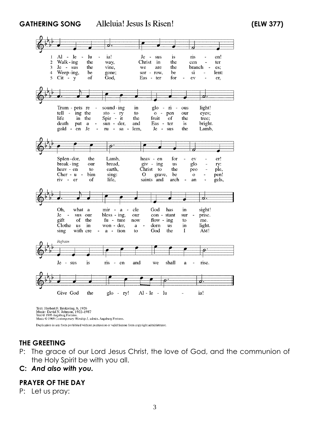GATHERING SONG Alleluia! Jesus Is Risen! (ELW 377)



Duplication in any form prohibited without permission or valid license from copyright administrator.

#### **THE GREETING**

- P: The grace of our Lord Jesus Christ, the love of God, and the communion of the Holy Spirit be with you all.
- **C:** *And also with you.*

#### **PRAYER OF THE DAY**

P: Let us pray: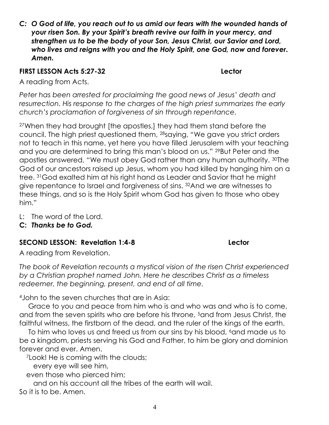*C: O God of life, you reach out to us amid our fears with the wounded hands of your risen Son. By your Spirit's breath revive our faith in your mercy, and strengthen us to be the body of your Son, Jesus Christ, our Savior and Lord, who lives and reigns with you and the Holy Spirit, one God, now and forever. Amen.*

#### **FIRST LESSON Acts 5:27-32 Lector**

A reading from Acts.

*Peter has been arrested for proclaiming the good news of Jesus' death and resurrection. His response to the charges of the high priest summarizes the early church's proclamation of forgiveness of sin through repentance.*

27When they had brought [the apostles,] they had them stand before the council. The high priest questioned them, <sup>28</sup>saying, "We gave you strict orders not to teach in this name, yet here you have filled Jerusalem with your teaching and you are determined to bring this man's blood on us." <sup>29</sup>But Peter and the apostles answered, "We must obey God rather than any human authority. <sup>30</sup>The God of our ancestors raised up Jesus, whom you had killed by hanging him on a tree. <sup>31</sup>God exalted him at his right hand as Leader and Savior that he might give repentance to Israel and forgiveness of sins. <sup>32</sup>And we are witnesses to these things, and so is the Holy Spirit whom God has given to those who obey him."

- L: The word of the Lord.
- **C:** *Thanks be to God.*

# **SECOND LESSON: Revelation 1:4-8 Lector**

A reading from Revelation.

*The book of Revelation recounts a mystical vision of the risen Christ experienced by a Christian prophet named John. Here he describes Christ as a timeless redeemer, the beginning, present, and end of all time.*

<sup>4</sup>John to the seven churches that are in Asia:

Grace to you and peace from him who is and who was and who is to come, and from the seven spirits who are before his throne, <sup>5</sup> and from Jesus Christ, the faithful witness, the firstborn of the dead, and the ruler of the kings of the earth.

To him who loves us and freed us from our sins by his blood, <sup>6</sup>and made us to be a kingdom, priests serving his God and Father, to him be glory and dominion forever and ever. Amen.

<sup>7</sup>Look! He is coming with the clouds;

every eye will see him,

even those who pierced him;

and on his account all the tribes of the earth will wail. So it is to be. Amen.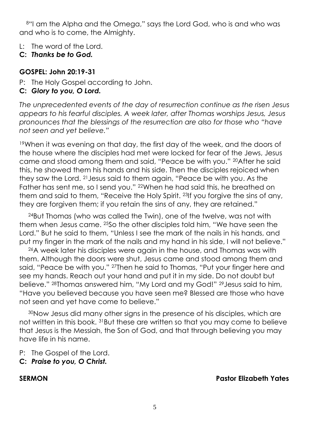<sup>8</sup>"I am the Alpha and the Omega," says the Lord God, who is and who was and who is to come, the Almighty.

- L: The word of the Lord.
- **C:** *Thanks be to God.*

# **GOSPEL: John 20:19-31**

- P: The Holy Gospel according to John.
- **C:** *Glory to you, O Lord.*

*The unprecedented events of the day of resurrection continue as the risen Jesus appears to his fearful disciples. A week later, after Thomas worships Jesus, Jesus pronounces that the blessings of the resurrection are also for those who "have not seen and yet believe."*

<sup>19</sup>When it was evening on that day, the first day of the week, and the doors of the house where the disciples had met were locked for fear of the Jews, Jesus came and stood among them and said, "Peace be with you." 20After he said this, he showed them his hands and his side. Then the disciples rejoiced when they saw the Lord. 21Jesus said to them again, "Peace be with you. As the Father has sent me, so I send you." 22When he had said this, he breathed on them and said to them, "Receive the Holy Spirit, <sup>23</sup>If you forgive the sins of any, they are forgiven them; if you retain the sins of any, they are retained."

<sup>24</sup>But Thomas (who was called the Twin), one of the twelve, was not with them when Jesus came. 25So the other disciples told him, "We have seen the Lord." But he said to them, "Unless I see the mark of the nails in his hands, and put my finger in the mark of the nails and my hand in his side, I will not believe."

<sup>26</sup>A week later his disciples were again in the house, and Thomas was with them. Although the doors were shut, Jesus came and stood among them and said, "Peace be with you." 27Then he said to Thomas, "Put your finger here and see my hands. Reach out your hand and put it in my side. Do not doubt but believe." 28Thomas answered him, "My Lord and my God!" 29Jesus said to him, "Have you believed because you have seen me? Blessed are those who have not seen and yet have come to believe."

<sup>30</sup>Now Jesus did many other signs in the presence of his disciples, which are not written in this book. 31But these are written so that you may come to believe that Jesus is the Messiah, the Son of God, and that through believing you may have life in his name.

- P: The Gospel of the Lord.
- **C:** *Praise to you, O Christ.*

#### **SERMON Pastor Elizabeth Yates**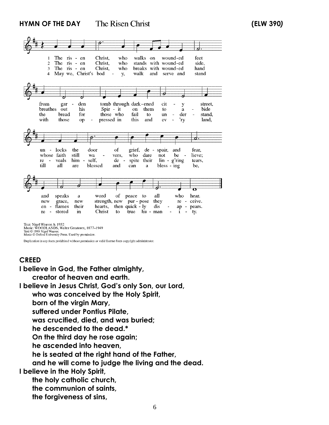

Duplication in any form prohibited without permission or valid license from copyright administrator.

#### **CREED**

**I believe in God, the Father almighty, creator of heaven and earth. I believe in Jesus Christ, God's only Son, our Lord, who was conceived by the Holy Spirit, born of the virgin Mary, suffered under Pontius Pilate, was crucified, died, and was buried; he descended to the dead.\* On the third day he rose again; he ascended into heaven, he is seated at the right hand of the Father, and he will come to judge the living and the dead. I believe in the Holy Spirit, the holy catholic church, the communion of saints,**

**the forgiveness of sins,**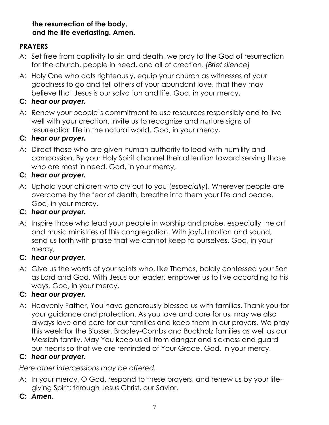#### **the resurrection of the body, and the life everlasting. Amen.**

# **PRAYERS**

- A: Set free from captivity to sin and death, we pray to the God of resurrection for the church, people in need, and all of creation. *[Brief silence]*
- A: Holy One who acts righteously, equip your church as witnesses of your goodness to go and tell others of your abundant love, that they may believe that Jesus is our salvation and life. God, in your mercy,

#### **C:** *hear our prayer.*

A: Renew your people's commitment to use resources responsibly and to live well with your creation. Invite us to recognize and nurture signs of resurrection life in the natural world. God, in your mercy,

#### **C:** *hear our prayer.*

A: Direct those who are given human authority to lead with humility and compassion. By your Holy Spirit channel their attention toward serving those who are most in need. God, in your mercy,

#### **C:** *hear our prayer.*

A: Uphold your children who cry out to you (*especially*). Wherever people are overcome by the fear of death, breathe into them your life and peace. God, in your mercy,

#### **C:** *hear our prayer.*

A: Inspire those who lead your people in worship and praise, especially the art and music ministries of this congregation. With joyful motion and sound, send us forth with praise that we cannot keep to ourselves. God, in your mercy,

#### **C:** *hear our prayer.*

A: Give us the words of your saints who, like Thomas, boldly confessed your Son as Lord and God. With Jesus our leader, empower us to live according to his ways. God, in your mercy,

# **C:** *hear our prayer.*

A: Heavenly Father, You have generously blessed us with families. Thank you for your guidance and protection. As you love and care for us, may we also always love and care for our families and keep them in our prayers. We pray this week for the Blosser, Bradley-Combs and Buckholz families as well as our Messiah family. May You keep us all from danger and sickness and guard our hearts so that we are reminded of Your Grace. God, in your mercy,

#### **C:** *hear our prayer.*

*Here other intercessions may be offered.*

- A: In your mercy, O God, respond to these prayers, and renew us by your lifegiving Spirit; through Jesus Christ, our Savior.
- **C:** *Amen***.**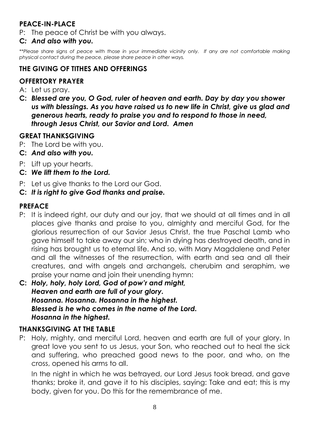# **PEACE-IN-PLACE**

P: The peace of Christ be with you always.

#### **C***: And also with you.*

*\*\*Please share signs of peace with those in your immediate vicinity only. If any are not comfortable making physical contact during the peace, please share peace in other ways.*

#### **THE GIVING OF TITHES AND OFFERINGS**

#### **OFFERTORY PRAYER**

- A: Let us pray.
- **C:** *Blessed are you, O God, ruler of heaven and earth. Day by day you shower us with blessings. As you have raised us to new life in Christ, give us glad and generous hearts, ready to praise you and to respond to those in need, through Jesus Christ, our Savior and Lord. Amen*

#### **GREAT THANKSGIVING**

- P: The Lord be with you.
- **C:** *And also with you.*
- P: Lift up your hearts.
- **C:** *We lift them to the Lord.*
- P: Let us give thanks to the Lord our God.
- **C:** *It is right to give God thanks and praise.*

#### **PREFACE**

- P: It is indeed right, our duty and our joy, that we should at all times and in all places give thanks and praise to you, almighty and merciful God, for the glorious resurrection of our Savior Jesus Christ, the true Paschal Lamb who gave himself to take away our sin; who in dying has destroyed death, and in rising has brought us to eternal life. And so, with Mary Magdalene and Peter and all the witnesses of the resurrection, with earth and sea and all their creatures, and with angels and archangels, cherubim and seraphim, we praise your name and join their unending hymn:
- **C:** *Holy, holy, holy Lord, God of pow'r and might, Heaven and earth are full of your glory. Hosanna. Hosanna. Hosanna in the highest. Blessed is he who comes in the name of the Lord. Hosanna in the highest.*

#### **THANKSGIVING AT THE TABLE**

P: Holy, mighty, and merciful Lord, heaven and earth are full of your glory. In great love you sent to us Jesus, your Son, who reached out to heal the sick and suffering, who preached good news to the poor, and who, on the cross, opened his arms to all.

In the night in which he was betrayed, our Lord Jesus took bread, and gave thanks; broke it, and gave it to his disciples, saying: Take and eat; this is my body, given for you. Do this for the remembrance of me.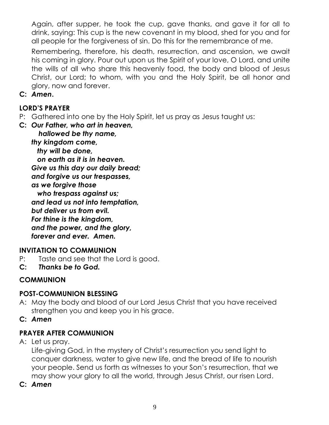Again, after supper, he took the cup, gave thanks, and gave it for all to drink, saying: This cup is the new covenant in my blood, shed for you and for all people for the forgiveness of sin. Do this for the remembrance of me.

Remembering, therefore, his death, resurrection, and ascension, we await his coming in glory. Pour out upon us the Spirit of your love, O Lord, and unite the wills of all who share this heavenly food, the body and blood of Jesus Christ, our Lord; to whom, with you and the Holy Spirit, be all honor and glory, now and forever.

**C:** *Amen***.**

#### **LORD'S PRAYER**

- P: Gathered into one by the Holy Spirit, let us pray as Jesus taught us:
- **C:** *Our Father, who art in heaven, hallowed be thy name,*

*thy kingdom come, thy will be done, on earth as it is in heaven. Give us this day our daily bread; and forgive us our trespasses, as we forgive those who trespass against us; and lead us not into temptation, but deliver us from evil. For thine is the kingdom, and the power, and the glory, forever and ever. Amen.*

# **INVITATION TO COMMUNION**

- P: Taste and see that the Lord is good.
- **C:** *Thanks be to God.*

#### **COMMUNION**

#### **POST-COMMUNION BLESSING**

- A: May the body and blood of our Lord Jesus Christ that you have received strengthen you and keep you in his grace.
- **C:** *Amen*

#### **PRAYER AFTER COMMUNION**

A: Let us pray.

Life-giving God, in the mystery of Christ's resurrection you send light to conquer darkness, water to give new life, and the bread of life to nourish your people. Send us forth as witnesses to your Son's resurrection, that we may show your glory to all the world, through Jesus Christ, our risen Lord.

**C:** *Amen*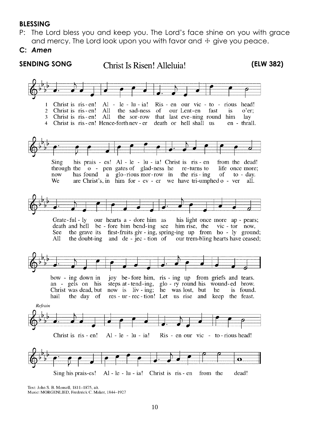#### **BLESSING**

- P: The Lord bless you and keep you. The Lord's face shine on you with grace and mercy. The Lord look upon you with favor and  $\pm$  give you peace.
- **C:** *Amen*



Text: John S. B. Monsell, 1811-1875, alt. Music: MORGENLIED, Frederick C. Maker, 1844-1927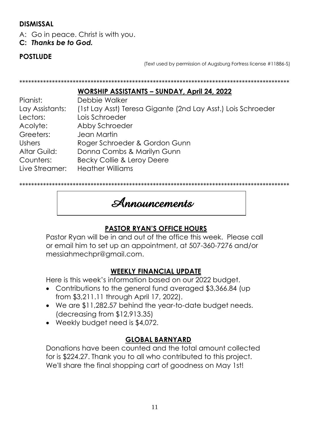#### **DISMISSAL**

A: Go in peace. Christ is with you.

#### **C:** *Thanks be to God.*

# **POSTLUDE**

(Text used by permission of Augsburg Fortress license #11886-S)

\*\*\*\*\*\*\*\*\*\*\*\*\*\*\*\*\*\*\*\*\*\*\*\*\*\*\*\*\*\*\*\*\*\*\*\*\*\*\*\*\*\*\*\*\*\*\*\*\*\*\*\*\*\*\*\*\*\*\*\*\*\*\*\*\*\*\*\*\*\*\*\*\*\*\*\*\*\*\*\*\*\*\*\*\*\*\*\*\*\*\*

#### **WORSHIP ASSISTANTS – SUNDAY, April 24, 2022**

| Pianist:        | Debbie Walker                                                |
|-----------------|--------------------------------------------------------------|
| Lay Assistants: | (1st Lay Asst) Teresa Gigante (2nd Lay Asst.) Lois Schroeder |
| Lectors:        | Lois Schroeder                                               |
| Acolyte:        | Abby Schroeder                                               |
| Greeters:       | Jean Martin                                                  |
| <b>Ushers</b>   | Roger Schroeder & Gordon Gunn                                |
| Altar Guild:    | Donna Combs & Marilyn Gunn                                   |
| Counters:       | Becky Collie & Leroy Deere                                   |
| Live Streamer:  | <b>Heather Williams</b>                                      |

#### \*\*\*\*\*\*\*\*\*\*\*\*\*\*\*\*\*\*\*\*\*\*\*\*\*\*\*\*\*\*\*\*\*\*\*\*\*\*\*\*\*\*\*\*\*\*\*\*\*\*\*\*\*\*\*\*\*\*\*\*\*\*\*\*\*\*\*\*\*\*\*\*\*\*\*\*\*\*\*\*\*\*\*\*\*\*\*\*\*\*\*

# **Announcements**

#### **PASTOR RYAN'S OFFICE HOURS**

Pastor Ryan will be in and out of the office this week. Please call or email him to set up an appointment, at 507-360-7276 and/or [messiahmechpr@gmail.com.](mailto:messiahmechpr@gmail.com)

#### **WEEKLY FINANCIAL UPDATE**

Here is this week's information based on our 2022 budget.

- Contributions to the general fund averaged \$3,366.84 (up from \$3,211.11 through April 17, 2022).
- We are \$11,282.57 behind the year-to-date budget needs. (decreasing from \$12,913.35)
- Weekly budget need is \$4,072.

#### **GLOBAL BARNYARD**

Donations have been counted and the total amount collected for is \$224.27. Thank you to all who contributed to this project. We'll share the final shopping cart of goodness on May 1st!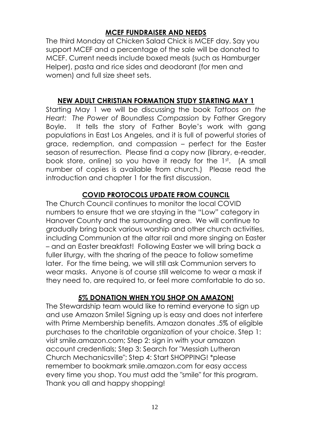#### **MCEF FUNDRAISER AND NEEDS**

The third Monday at Chicken Salad Chick is MCEF day. Say you support MCEF and a percentage of the sale will be donated to MCEF. Current needs include boxed meals (such as Hamburger Helper), pasta and rice sides and deodorant (for men and women) and full size sheet sets.

## **NEW ADULT CHRISTIAN FORMATION STUDY STARTING MAY 1**

Starting May 1 we will be discussing the book *Tattoos on the Heart: The Power of Boundless Compassion* by Father Gregory Boyle. It tells the story of Father Boyle's work with gang populations in East Los Angeles, and it is full of powerful stories of grace, redemption, and compassion – perfect for the Easter season of resurrection. Please find a copy now (library, e-reader, book store, online) so you have it ready for the 1st. (A small number of copies is available from church.) Please read the introduction and chapter 1 for the first discussion.

## **COVID PROTOCOLS UPDATE FROM COUNCIL**

The Church Council continues to monitor the local COVID numbers to ensure that we are staying in the "Low" category in Hanover County and the surrounding area. We will continue to gradually bring back various worship and other church activities, including Communion at the altar rail and more singing on Easter – and an Easter breakfast! Following Easter we will bring back a fuller liturgy, with the sharing of the peace to follow sometime later. For the time being, we will still ask Communion servers to wear masks. Anyone is of course still welcome to wear a mask if they need to, are required to, or feel more comfortable to do so.

# **5% DONATION WHEN YOU SHOP ON AMAZON!**

The Stewardship team would like to remind everyone to sign up and use Amazon Smile! Signing up is easy and does not interfere with Prime Membership benefits. Amazon donates .5% of eligible purchases to the charitable organization of your choice. Step 1: visit smile.amazon.com; Step 2: sign in with your amazon account credentials; Step 3: Search for "Messiah Lutheran Church Mechanicsville"; Step 4: Start SHOPPING! \*please remember to bookmark smile.amazon.com for easy access every time you shop. You must add the "smile" for this program. Thank you all and happy shopping!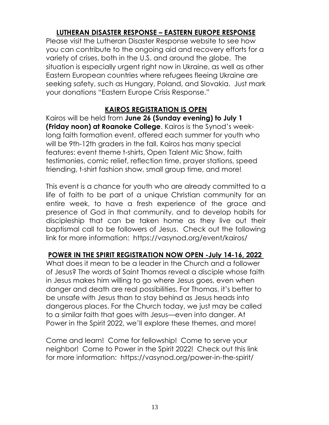#### **LUTHERAN DISASTER RESPONSE – EASTERN EUROPE RESPONSE**

Please visit the Lutheran Disaster Response website to see how you can contribute to the ongoing aid and recovery efforts for a variety of crises, both in the U.S. and around the globe. The situation is especially urgent right now in Ukraine, as well as other Eastern European countries where refugees fleeing Ukraine are seeking safety, such as Hungary, Poland, and Slovakia. Just mark your donations "Eastern Europe Crisis Response."

### **KAIROS REGISTRATION IS OPEN**

Kairos will be held from **June 26 (Sunday evening) to July 1 (Friday noon) at Roanoke College**. Kairos is the Synod's weeklong faith formation event, offered each summer for youth who will be 9th-12th graders in the fall. Kairos has many special features: event theme t-shirts, Open Talent Mic Show, faith testimonies, comic relief, reflection time, prayer stations, speed friending, t-shirt fashion show, small group time, and more!

This event is a chance for youth who are already committed to a life of faith to be part of a unique Christian community for an entire week, to have a fresh experience of the grace and presence of God in that community, and to develop habits for discipleship that can be taken home as they live out their baptismal call to be followers of Jesus. Check out the following link for more information: https://vasynod.org/event/kairos/

#### **POWER IN THE SPIRIT REGISTRATION NOW OPEN -July 14-16, 2022**

What does it mean to be a leader in the Church and a follower of Jesus? The words of Saint Thomas reveal a disciple whose faith in Jesus makes him willing to go where Jesus goes, even when danger and death are real possibilities. For Thomas, it's better to be unsafe with Jesus than to stay behind as Jesus heads into dangerous places. For the Church today, we just may be called to a similar faith that goes with Jesus—even into danger. At Power in the Spirit 2022, we'll explore these themes, and more!

Come and learn! Come for fellowship! Come to serve your neighbor! Come to Power in the Spirit 2022! Check out this link for more information: https://vasynod.org/power-in-the-spirit/